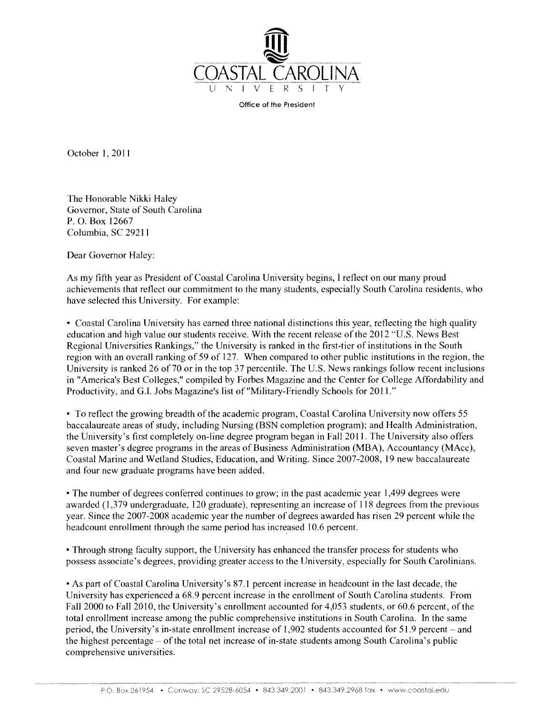

Office of the President

October 1, 2011

The Honorable Nikki Haley Governor, State of South Carolina P. 0. Box 12667 Columbia, SC 29211

Dear Governor Haley:

As my fifth year as President of Coastal Carolina University begins, I reflect on our many proud achievements that reflect our commitment to the many students, especially South Carolina residents, who have selected this University. For example:

• Coastal Carolina University has earned three national distinctions this year, reflecting the high quality education and high value our students receive. With the recent release of the 2012 "U.S. News Best Regional Universities Rankings," the University is ranked in the first-tier of institutions in the South region with an overall ranking of 59 of 127. When compared to other public institutions in the region, the University is ranked 26 of 70 or in the top 37 percentile. The U.S. News rankings follow recent inclusions in "America's Best Colleges," compiled by Forbes Magazine and the Center for College Affordability and Productivity, and G.I. Jobs Magazine's list of "Military-Friendly Schools for 2011."

• To reflect the growing breadth of the academic program, Coastal Carolina University now offers 55 baccalaureate areas of study, including Nursing (BSN completion program); and Health Administration, the University's first completely on-line degree program began in Fall2011. The University also offers seven master's degree programs in the areas of Business Administration (MBA), Accountancy (MAce), Coastal Marine and Wetland Studies, Education, and Writing. Since 2007-2008, 19 new baccalaureate and four new graduate programs have been added.

• The number of degrees conferred continues to grow; in the past academic year 1,499 degrees were awarded (1,379 undergraduate, 120 graduate), representing an increase of 118 degrees from the previous year. Since the 2007-2008 academic year the number of degrees awarded has risen 29 percent while the head count enrollment through the same period has increased 10.6 percent.

• Through strong faculty support, the University has enhanced the transfer process for students who possess associate's degrees, providing greater access to the University, especially for South Carolinians.

• As part of Coastal Carolina University's 87.1 percent increase in headcount in the last decade, the University has experienced a 68.9 percent increase in the enrollment of South Carolina students. From Fall 2000 to Fall 2010, the University's enrollment accounted for 4,053 students, or 60.6 percent, of the total enrollment increase among the public comprehensive institutions in South Carolina. In the same period, the University's in-state enrollment increase of 1,902 students accounted for 51.9 percent – and the highest percentage- of the total net increase of in-state students among South Carolina's public comprehensive universities.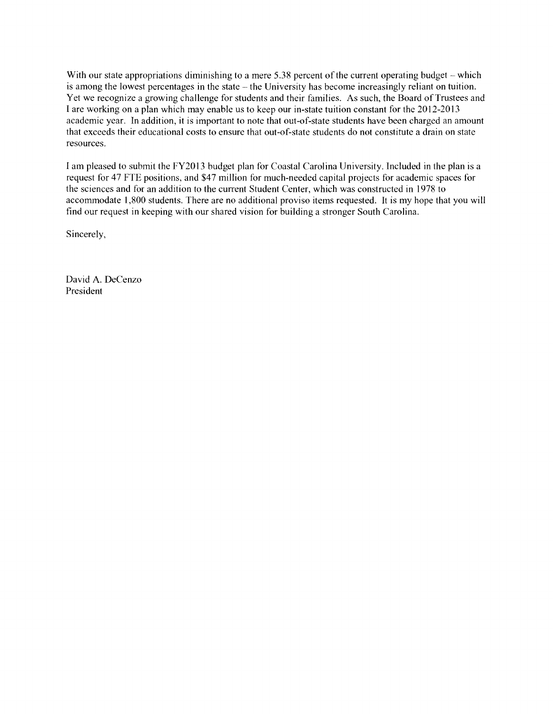With our state appropriations diminishing to a mere 5.38 percent of the current operating budget – which is among the lowest percentages in the state- the University has become increasingly reliant on tuition. Yet we recognize a growing challenge for students and their families. As such, the Board of Trustees and I are working on a plan which may enable us to keep our in-state tuition constant for the 2012-2013 academic year. In addition, it is important to note that out-of-state students have been charged an amount that exceeds their educational costs to ensure that out-of-state students do not constitute a drain on state resources.

I am pleased to submit the FY2013 budget plan for Coastal Carolina University. Included in the plan is a request for 47 FTE positions, and \$47 million for much-needed capital projects for academic spaces for the sciences and for an addition to the current Student Center, which was constructed in 1978 to accommodate 1 ,800 students. There are no additional proviso items requested. It is my hope that you will find our request in keeping with our shared vision for building a stronger South Carolina.

Sincerely,

David A. DeCenzo President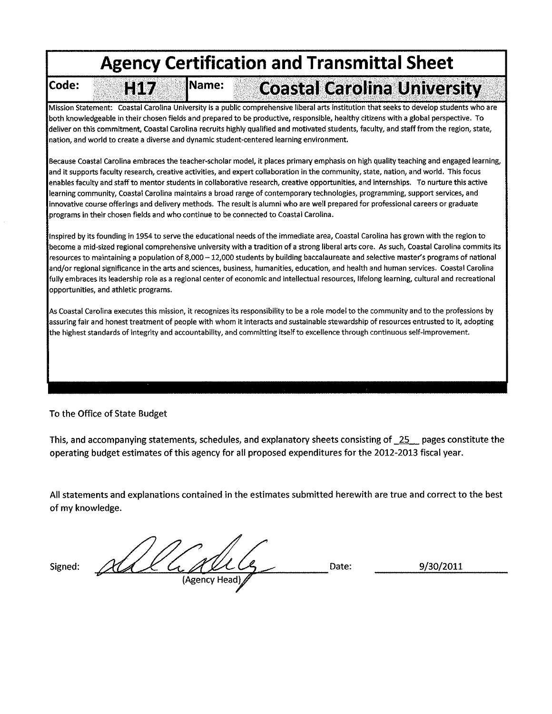# **Agency Certification and Transmittal Sheet**

Code:

HIT

# **Coastal Carolina University**

Mission Statement: Coastal Carolina University is a public comprehensive liberal arts institution that seeks to develop students who are both knowledgeable in their chosen fields and prepared to be productive, responsible, healthy citizens with a global perspective. To deliver on this commitment, Coastal Carolina recruits highly qualified and motivated students, faculty, and staff from the region, state, nation, and world to create a diverse and dynamic student-centered learning environment.

Name:

Because Coastal Carolina embraces the teacher-scholar model, it places primary emphasis on high quality teaching and engaged learning, and it supports faculty research, creative activities, and expert collaboration in the community, state, nation, and world. This focus enables faculty and staff to mentor students in collaborative research, creative opportunities, and internships. To nurture this active learning community, Coastal Carolina maintains a broad range of contemporary technologies, programming, support services, and innovative course offerings and delivery methods. The result is alumni who are well prepared for professional careers or graduate programs in their chosen fields and who continue to be connected to Coastal Carolina.

Inspired by its founding in 1954 to serve the educational needs of the immediate area, Coastal Carolina has grown with the region to become a mid-sized regional comprehensive university with a tradition of a strong liberal arts core. As such, Coastal Carolina commits its resources to maintaining a population of 8,000 - 12,000 students by building baccalaureate and selective master's programs of national and/or regional significance in the arts and sciences, business, humanities, education, and health and human services. Coastal Carolina fully embraces its leadership role as a regional center of economic and intellectual resources, lifelong learning, cultural and recreational opportunities, and athletic programs.

As Coastal Carolina executes this mission, it recognizes its responsibility to be a role model to the community and to the professions by assuring fair and honest treatment of people with whom it interacts and sustainable stewardship of resources entrusted to it, adopting highest standards of integrity and accountability, and committing itself to excellence through continuous self-improvement.

# To the Office of State Budget

This, and accompanying statements, schedules, and explanatory sheets consisting of  $\overline{25}$  pages constitute the operating budget estimates of this agency for all proposed expenditures for the 2012-2013 fiscal year.

All statements and explanations contained in the estimates submitted herewith are true and correct to the best of my knowledge.

Signed:  $\frac{1}{2}$   $\frac{1}{2}$   $\frac{1}{2}$   $\frac{1}{2}$   $\frac{1}{2}$   $\frac{1}{2}$   $\frac{1}{2}$   $\frac{1}{2}$   $\frac{1}{2}$   $\frac{1}{2}$   $\frac{1}{2}$   $\frac{1}{2}$   $\frac{1}{2}$   $\frac{1}{2}$   $\frac{1}{2}$   $\frac{1}{2}$   $\frac{1}{2}$   $\frac{1}{2}$   $\frac{1}{2}$   $\frac{1}{2}$   $\frac{1}{2}$   $\frac$ (Agency Head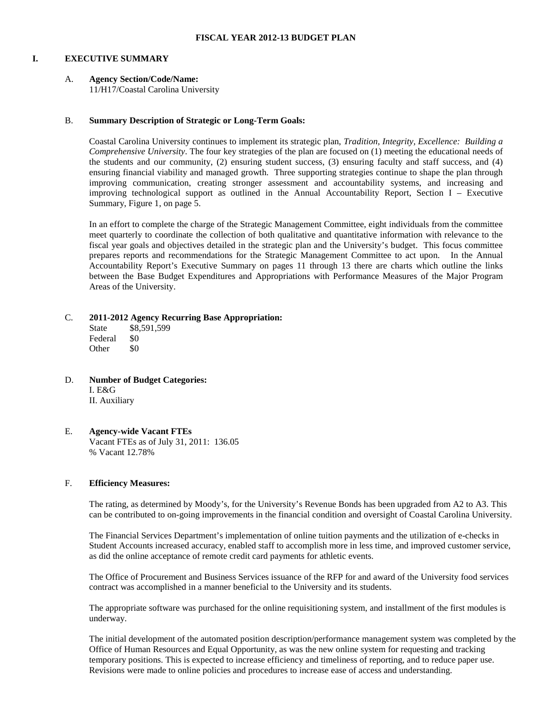# **I. EXECUTIVE SUMMARY**

# A. **Agency Section/Code/Name:**

11/H17/Coastal Carolina University

# B. **Summary Description of Strategic or Long-Term Goals:**

Coastal Carolina University continues to implement its strategic plan, *Tradition, Integrity, Excellence: Building a Comprehensive University*. The four key strategies of the plan are focused on (1) meeting the educational needs of the students and our community, (2) ensuring student success, (3) ensuring faculty and staff success, and (4) ensuring financial viability and managed growth. Three supporting strategies continue to shape the plan through improving communication, creating stronger assessment and accountability systems, and increasing and improving technological support as outlined in the Annual Accountability Report, Section I – Executive Summary, Figure 1, on page 5.

In an effort to complete the charge of the Strategic Management Committee, eight individuals from the committee meet quarterly to coordinate the collection of both qualitative and quantitative information with relevance to the fiscal year goals and objectives detailed in the strategic plan and the University's budget. This focus committee prepares reports and recommendations for the Strategic Management Committee to act upon. In the Annual Accountability Report's Executive Summary on pages 11 through 13 there are charts which outline the links between the Base Budget Expenditures and Appropriations with Performance Measures of the Major Program Areas of the University.

# C. **2011-2012 Agency Recurring Base Appropriation:**

State \$8,591,599 Federal \$0 Other \$0

D. **Number of Budget Categories:** I. E&G II. Auxiliary

#### E. **Agency-wide Vacant FTEs** Vacant FTEs as of July 31, 2011: 136.05 % Vacant 12.78%

# F. **Efficiency Measures:**

The rating, as determined by Moody's, for the University's Revenue Bonds has been upgraded from A2 to A3. This can be contributed to on-going improvements in the financial condition and oversight of Coastal Carolina University.

The Financial Services Department's implementation of online tuition payments and the utilization of e-checks in Student Accounts increased accuracy, enabled staff to accomplish more in less time, and improved customer service, as did the online acceptance of remote credit card payments for athletic events.

The Office of Procurement and Business Services issuance of the RFP for and award of the University food services contract was accomplished in a manner beneficial to the University and its students.

The appropriate software was purchased for the online requisitioning system, and installment of the first modules is underway.

The initial development of the automated position description/performance management system was completed by the Office of Human Resources and Equal Opportunity, as was the new online system for requesting and tracking temporary positions. This is expected to increase efficiency and timeliness of reporting, and to reduce paper use. Revisions were made to online policies and procedures to increase ease of access and understanding.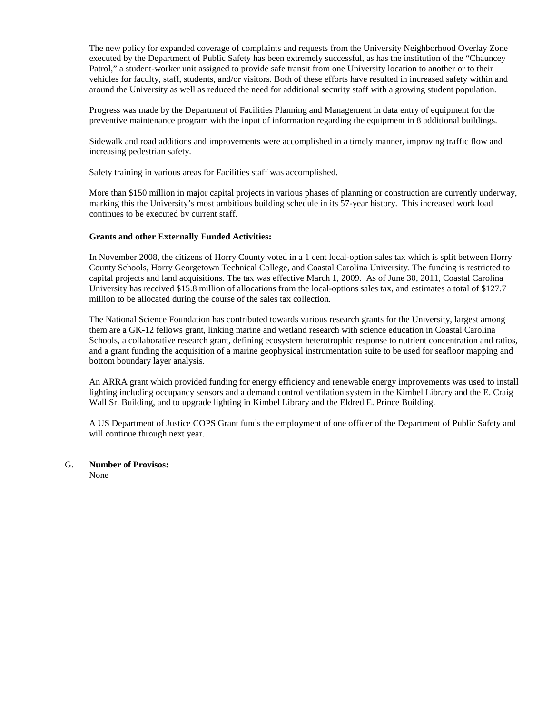The new policy for expanded coverage of complaints and requests from the University Neighborhood Overlay Zone executed by the Department of Public Safety has been extremely successful, as has the institution of the "Chauncey Patrol," a student-worker unit assigned to provide safe transit from one University location to another or to their vehicles for faculty, staff, students, and/or visitors. Both of these efforts have resulted in increased safety within and around the University as well as reduced the need for additional security staff with a growing student population.

Progress was made by the Department of Facilities Planning and Management in data entry of equipment for the preventive maintenance program with the input of information regarding the equipment in 8 additional buildings.

Sidewalk and road additions and improvements were accomplished in a timely manner, improving traffic flow and increasing pedestrian safety.

Safety training in various areas for Facilities staff was accomplished.

More than \$150 million in major capital projects in various phases of planning or construction are currently underway, marking this the University's most ambitious building schedule in its 57-year history. This increased work load continues to be executed by current staff.

# **Grants and other Externally Funded Activities:**

In November 2008, the citizens of Horry County voted in a 1 cent local-option sales tax which is split between Horry County Schools, Horry Georgetown Technical College, and Coastal Carolina University. The funding is restricted to capital projects and land acquisitions. The tax was effective March 1, 2009. As of June 30, 2011, Coastal Carolina University has received \$15.8 million of allocations from the local-options sales tax, and estimates a total of \$127.7 million to be allocated during the course of the sales tax collection.

The National Science Foundation has contributed towards various research grants for the University, largest among them are a GK-12 fellows grant, linking marine and wetland research with science education in Coastal Carolina Schools, a collaborative research grant, defining ecosystem heterotrophic response to nutrient concentration and ratios, and a grant funding the acquisition of a marine geophysical instrumentation suite to be used for seafloor mapping and bottom boundary layer analysis.

An ARRA grant which provided funding for energy efficiency and renewable energy improvements was used to install lighting including occupancy sensors and a demand control ventilation system in the Kimbel Library and the E. Craig Wall Sr. Building, and to upgrade lighting in Kimbel Library and the Eldred E. Prince Building.

A US Department of Justice COPS Grant funds the employment of one officer of the Department of Public Safety and will continue through next year.

G. **Number of Provisos:**

None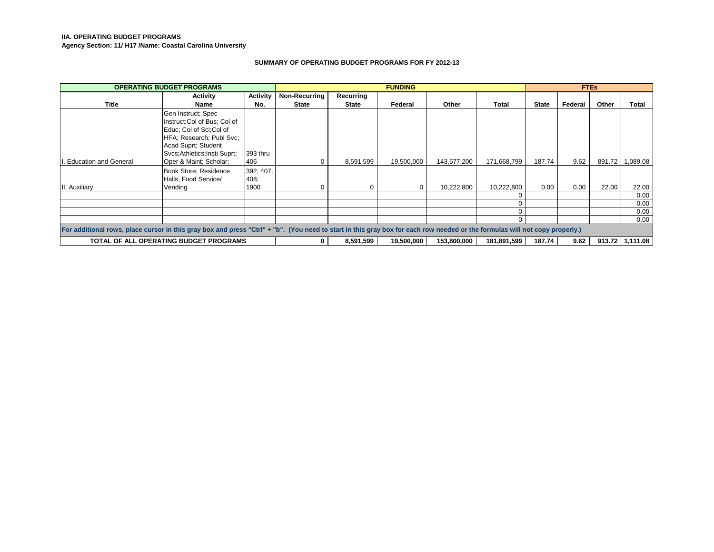#### **IIA. OPERATING BUDGET PROGRAMS**

**Agency Section: 11/ H17 /Name: Coastal Carolina University**

#### **SUMMARY OF OPERATING BUDGET PROGRAMS FOR FY 2012-13**

| <b>OPERATING BUDGET PROGRAMS</b>                                                                                                                                            |                                        |                 |                      | <b>FUNDING</b> |            |             | <b>FTEs</b> |              |         |        |                   |
|-----------------------------------------------------------------------------------------------------------------------------------------------------------------------------|----------------------------------------|-----------------|----------------------|----------------|------------|-------------|-------------|--------------|---------|--------|-------------------|
|                                                                                                                                                                             | Activity                               | <b>Activity</b> | <b>Non-Recurring</b> | Recurring      |            |             |             |              |         |        |                   |
| Title                                                                                                                                                                       | Name                                   | No.             | <b>State</b>         | <b>State</b>   | Federal    | Other       | Total       | <b>State</b> | Federal | Other  | Total             |
|                                                                                                                                                                             | Gen Instruct; Spec                     |                 |                      |                |            |             |             |              |         |        |                   |
|                                                                                                                                                                             | Instruct; Col of Bus; Col of           |                 |                      |                |            |             |             |              |         |        |                   |
|                                                                                                                                                                             | Educ; Col of Sci; Col of               |                 |                      |                |            |             |             |              |         |        |                   |
|                                                                                                                                                                             | HFA; Research; Publ Svc;               |                 |                      |                |            |             |             |              |         |        |                   |
|                                                                                                                                                                             | Acad Suprt; Student                    |                 |                      |                |            |             |             |              |         |        |                   |
|                                                                                                                                                                             | Svcs: Athletics: Insti Suprt:          | 393 thru        |                      |                |            |             |             |              |         |        |                   |
| . Education and General                                                                                                                                                     | Oper & Maint, Scholar,                 | 406             | 0                    | 8,591,599      | 19,500,000 | 143,577,200 | 171,668,799 | 187.74       | 9.62    | 891.72 | 1,089.08          |
|                                                                                                                                                                             | Book Store; Residence                  | 392; 407;       |                      |                |            |             |             |              |         |        |                   |
|                                                                                                                                                                             | Halls; Food Service/                   | 408:            |                      |                |            |             |             |              |         |        |                   |
| Auxiliary                                                                                                                                                                   | Vending                                | 1900            | $\Omega$             |                | 0          | 10,222,800  | 10,222,800  | 0.00         | 0.00    | 22.00  | 22.00             |
|                                                                                                                                                                             |                                        |                 |                      |                |            |             |             |              |         |        | 0.00              |
|                                                                                                                                                                             |                                        |                 |                      |                |            |             |             |              |         |        | 0.00              |
|                                                                                                                                                                             |                                        |                 |                      |                |            |             |             |              |         |        | 0.00              |
|                                                                                                                                                                             |                                        |                 |                      |                |            |             | 0           |              |         |        | 0.00              |
| For additional rows, place cursor in this gray box and press "Ctrl" + "b". (You need to start in this gray box for each row needed or the formulas will not copy properly.) |                                        |                 |                      |                |            |             |             |              |         |        |                   |
|                                                                                                                                                                             | TOTAL OF ALL OPERATING BUDGET PROGRAMS |                 | 0                    | 8,591,599      | 19,500,000 | 153,800,000 | 181,891,599 | 187.74       | 9.62    |        | 913.72   1,111.08 |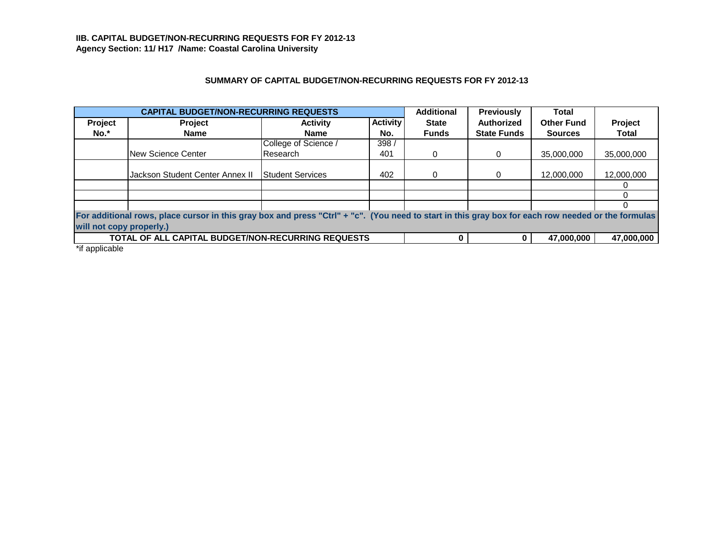# **SUMMARY OF CAPITAL BUDGET/NON-RECURRING REQUESTS FOR FY 2012-13**

|                          | <b>CAPITAL BUDGET/NON-RECURRING REQUESTS</b>                                                                                                       |                         |                 | <b>Additional</b> | <b>Previously</b>  | Total             |              |
|--------------------------|----------------------------------------------------------------------------------------------------------------------------------------------------|-------------------------|-----------------|-------------------|--------------------|-------------------|--------------|
| Project                  | <b>Project</b>                                                                                                                                     | <b>Activity</b>         | <b>Activity</b> | <b>State</b>      | <b>Authorized</b>  | <b>Other Fund</b> | Project      |
| No.*                     | Name                                                                                                                                               | <b>Name</b>             | No.             | <b>Funds</b>      | <b>State Funds</b> | <b>Sources</b>    | <b>Total</b> |
|                          |                                                                                                                                                    | College of Science /    | 398/            |                   |                    |                   |              |
|                          | New Science Center                                                                                                                                 | Research                | 401             | 0                 | 0                  | 35,000,000        | 35,000,000   |
|                          |                                                                                                                                                    |                         |                 |                   |                    |                   |              |
|                          | Jackson Student Center Annex II                                                                                                                    | <b>Student Services</b> | 402             | 0                 | 0                  | 12,000,000        | 12,000,000   |
|                          |                                                                                                                                                    |                         |                 |                   |                    |                   |              |
|                          |                                                                                                                                                    |                         |                 |                   |                    |                   |              |
|                          |                                                                                                                                                    |                         |                 |                   |                    |                   |              |
|                          | For additional rows, place cursor in this gray box and press "Ctrl" + "c". (You need to start in this gray box for each row needed or the formulas |                         |                 |                   |                    |                   |              |
| will not copy properly.) |                                                                                                                                                    |                         |                 |                   |                    |                   |              |
|                          | TOTAL OF ALL CAPITAL BUDGET/NON-RECURRING REQUESTS                                                                                                 |                         |                 | n                 |                    | 47,000,000        | 47,000,000   |
|                          |                                                                                                                                                    |                         |                 |                   |                    |                   |              |

\*if applicable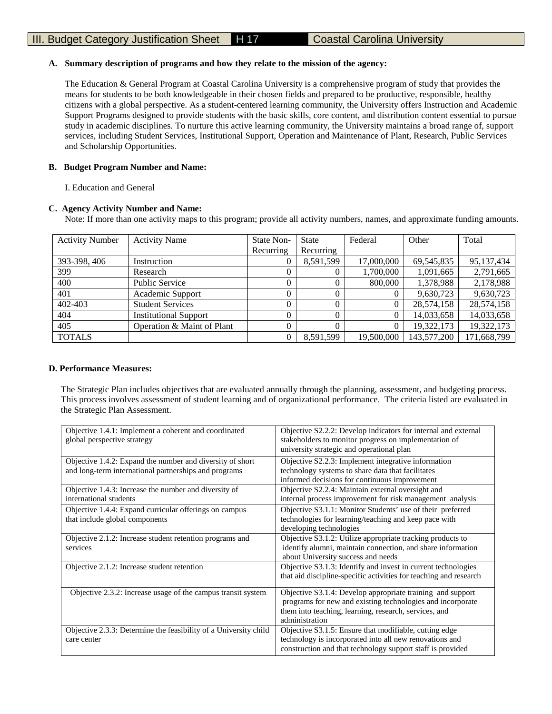# **A. Summary description of programs and how they relate to the mission of the agency:**

The Education & General Program at Coastal Carolina University is a comprehensive program of study that provides the means for students to be both knowledgeable in their chosen fields and prepared to be productive, responsible, healthy citizens with a global perspective. As a student-centered learning community, the University offers Instruction and Academic Support Programs designed to provide students with the basic skills, core content, and distribution content essential to pursue study in academic disciplines. To nurture this active learning community, the University maintains a broad range of, support services, including Student Services, Institutional Support, Operation and Maintenance of Plant, Research, Public Services and Scholarship Opportunities.

# **B. Budget Program Number and Name:**

I. Education and General

# **C. Agency Activity Number and Name:**

Note: If more than one activity maps to this program; provide all activity numbers, names, and approximate funding amounts.

| <b>Activity Number</b> | <b>Activity Name</b>         | State Non- | <b>State</b> | Federal    | Other       | Total        |
|------------------------|------------------------------|------------|--------------|------------|-------------|--------------|
|                        |                              | Recurring  | Recurring    |            |             |              |
| 393-398, 406           | Instruction                  | 0          | 8,591,599    | 17,000,000 | 69,545,835  | 95, 137, 434 |
| 399                    | Research                     |            |              | 1,700,000  | 1,091,665   | 2,791,665    |
| 400                    | <b>Public Service</b>        |            | 0            | 800,000    | 1,378,988   | 2,178,988    |
| 401                    | Academic Support             |            | 0            |            | 9,630,723   | 9,630,723    |
| 402-403                | <b>Student Services</b>      | $\Omega$   | 0            |            | 28,574,158  | 28,574,158   |
| 404                    | <b>Institutional Support</b> | $\Omega$   |              |            | 14,033,658  | 14,033,658   |
| 405                    | Operation & Maint of Plant   | $\Omega$   | $\theta$     |            | 19,322,173  | 19,322,173   |
| <b>TOTALS</b>          |                              |            | 8,591,599    | 19,500,000 | 143,577,200 | 171,668,799  |

# **D. Performance Measures:**

The Strategic Plan includes objectives that are evaluated annually through the planning, assessment, and budgeting process. This process involves assessment of student learning and of organizational performance. The criteria listed are evaluated in the Strategic Plan Assessment.

| Objective 1.4.1: Implement a coherent and coordinated<br>global perspective strategy                               | Objective S2.2.2: Develop indicators for internal and external<br>stakeholders to monitor progress on implementation of<br>university strategic and operational plan                                |
|--------------------------------------------------------------------------------------------------------------------|-----------------------------------------------------------------------------------------------------------------------------------------------------------------------------------------------------|
| Objective 1.4.2: Expand the number and diversity of short<br>and long-term international partnerships and programs | Objective S2.2.3: Implement integrative information<br>technology systems to share data that facilitates<br>informed decisions for continuous improvement                                           |
| Objective 1.4.3: Increase the number and diversity of<br>international students                                    | Objective S2.2.4: Maintain external oversight and<br>internal process improvement for risk management analysis                                                                                      |
| Objective 1.4.4: Expand curricular offerings on campus<br>that include global components                           | Objective S3.1.1: Monitor Students' use of their preferred<br>technologies for learning/teaching and keep pace with<br>developing technologies                                                      |
| Objective 2.1.2: Increase student retention programs and<br>services                                               | Objective S3.1.2: Utilize appropriate tracking products to<br>identify alumni, maintain connection, and share information<br>about University success and needs                                     |
| Objective 2.1.2: Increase student retention                                                                        | Objective S3.1.3: Identify and invest in current technologies<br>that aid discipline-specific activities for teaching and research                                                                  |
| Objective 2.3.2: Increase usage of the campus transit system                                                       | Objective S3.1.4: Develop appropriate training and support<br>programs for new and existing technologies and incorporate<br>them into teaching, learning, research, services, and<br>administration |
| Objective 2.3.3: Determine the feasibility of a University child<br>care center                                    | Objective S3.1.5: Ensure that modifiable, cutting edge<br>technology is incorporated into all new renovations and<br>construction and that technology support staff is provided                     |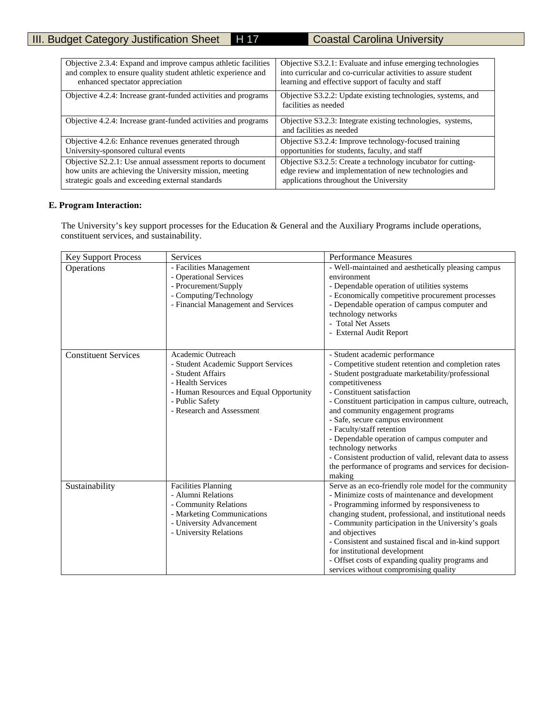| Objective 2.3.4: Expand and improve campus athletic facilities | Objective S3.2.1: Evaluate and infuse emerging technologies                             |
|----------------------------------------------------------------|-----------------------------------------------------------------------------------------|
| and complex to ensure quality student athletic experience and  | into curricular and co-curricular activities to assure student                          |
| enhanced spectator appreciation                                | learning and effective support of faculty and staff                                     |
| Objective 4.2.4: Increase grant-funded activities and programs | Objective S3.2.2: Update existing technologies, systems, and<br>facilities as needed    |
| Objective 4.2.4: Increase grant-funded activities and programs | Objective S3.2.3: Integrate existing technologies, systems,<br>and facilities as needed |
| Objective 4.2.6: Enhance revenues generated through            | Objective S3.2.4: Improve technology-focused training                                   |
| University-sponsored cultural events                           | opportunities for students, faculty, and staff                                          |
| Objective S2.2.1: Use annual assessment reports to document    | Objective S3.2.5: Create a technology incubator for cutting-                            |
| how units are achieving the University mission, meeting        | edge review and implementation of new technologies and                                  |
| strategic goals and exceeding external standards               | applications throughout the University                                                  |

# **E. Program Interaction:**

 The University's key support processes for the Education & General and the Auxiliary Programs include operations, constituent services, and sustainability.

| <b>Key Support Process</b>  | Services                                                                                                                                                                                      | <b>Performance Measures</b>                                                                                                                                                                                                                                                                                                                                                                                                                                                                                                                                              |
|-----------------------------|-----------------------------------------------------------------------------------------------------------------------------------------------------------------------------------------------|--------------------------------------------------------------------------------------------------------------------------------------------------------------------------------------------------------------------------------------------------------------------------------------------------------------------------------------------------------------------------------------------------------------------------------------------------------------------------------------------------------------------------------------------------------------------------|
| Operations                  | - Facilities Management<br>- Operational Services<br>- Procurement/Supply<br>- Computing/Technology<br>- Financial Management and Services                                                    | - Well-maintained and aesthetically pleasing campus<br>environment<br>- Dependable operation of utilities systems<br>- Economically competitive procurement processes<br>- Dependable operation of campus computer and<br>technology networks<br>- Total Net Assets<br>- External Audit Report                                                                                                                                                                                                                                                                           |
| <b>Constituent Services</b> | Academic Outreach<br>- Student Academic Support Services<br>- Student Affairs<br>- Health Services<br>- Human Resources and Equal Opportunity<br>- Public Safety<br>- Research and Assessment | - Student academic performance<br>- Competitive student retention and completion rates<br>- Student postgraduate marketability/professional<br>competitiveness<br>- Constituent satisfaction<br>- Constituent participation in campus culture, outreach,<br>and community engagement programs<br>- Safe, secure campus environment<br>- Faculty/staff retention<br>- Dependable operation of campus computer and<br>technology networks<br>- Consistent production of valid, relevant data to assess<br>the performance of programs and services for decision-<br>making |
| Sustainability              | <b>Facilities Planning</b><br>- Alumni Relations<br>- Community Relations<br>- Marketing Communications<br>- University Advancement<br>- University Relations                                 | Serve as an eco-friendly role model for the community<br>- Minimize costs of maintenance and development<br>- Programming informed by responsiveness to<br>changing student, professional, and institutional needs<br>- Community participation in the University's goals<br>and objectives<br>- Consistent and sustained fiscal and in-kind support<br>for institutional development<br>- Offset costs of expanding quality programs and<br>services without compromising quality                                                                                       |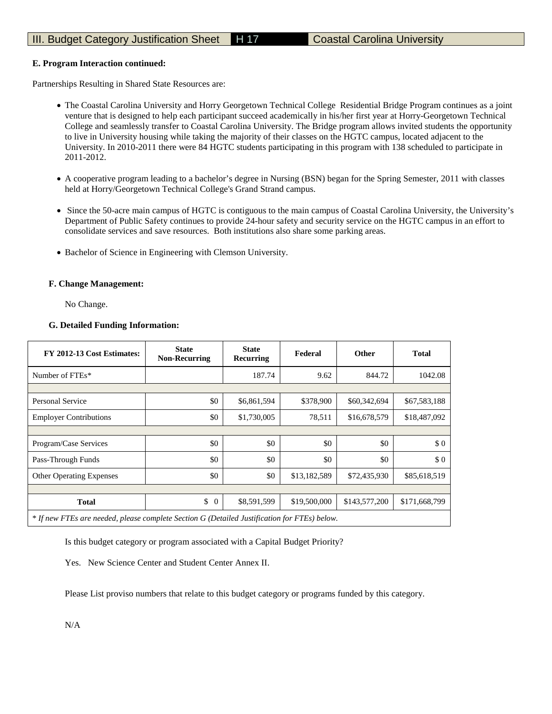# III. Budget Category Justification Sheet H 17 Coastal Carolina University

# **E. Program Interaction continued:**

Partnerships Resulting in Shared State Resources are:

- The Coastal Carolina University and Horry Georgetown Technical College Residential Bridge Program continues as a joint venture that is designed to help each participant succeed academically in his/her first year at Horry-Georgetown Technical College and seamlessly transfer to Coastal Carolina University. The Bridge program allows invited students the opportunity to live in University housing while taking the majority of their classes on the HGTC campus, located adjacent to the University. In 2010-2011 there were 84 HGTC students participating in this program with 138 scheduled to participate in 2011-2012.
- A cooperative program leading to a bachelor's degree in Nursing (BSN) began for the Spring Semester, 2011 with classes held at Horry/Georgetown Technical College's Grand Strand campus.
- Since the 50-acre main campus of HGTC is contiguous to the main campus of Coastal Carolina University, the University's Department of Public Safety continues to provide 24-hour safety and security service on the HGTC campus in an effort to consolidate services and save resources. Both institutions also share some parking areas.
- Bachelor of Science in Engineering with Clemson University.

# **F. Change Management:**

No Change.

# **G. Detailed Funding Information:**

| FY 2012-13 Cost Estimates:                                                                   | <b>State</b><br><b>Non-Recurring</b> | <b>State</b><br>Recurring | Federal      | <b>Other</b>  | <b>Total</b>  |
|----------------------------------------------------------------------------------------------|--------------------------------------|---------------------------|--------------|---------------|---------------|
| Number of FTEs*                                                                              |                                      | 187.74                    | 9.62         | 844.72        | 1042.08       |
|                                                                                              |                                      |                           |              |               |               |
| Personal Service                                                                             | \$0                                  | \$6,861,594               | \$378,900    | \$60,342,694  | \$67,583,188  |
| <b>Employer Contributions</b>                                                                | \$0                                  | \$1,730,005               | 78,511       | \$16,678,579  | \$18,487,092  |
|                                                                                              |                                      |                           |              |               |               |
| Program/Case Services                                                                        | \$0                                  | \$0                       | \$0          | \$0           | \$0           |
| Pass-Through Funds                                                                           | \$0                                  | \$0                       | \$0          | \$0           | \$0           |
| <b>Other Operating Expenses</b>                                                              | \$0                                  | \$0                       | \$13,182,589 | \$72,435,930  | \$85,618,519  |
|                                                                                              |                                      |                           |              |               |               |
| <b>Total</b>                                                                                 | \$<br>$\Omega$                       | \$8,591,599               | \$19,500,000 | \$143,577,200 | \$171,668,799 |
| * If new FTEs are needed, please complete Section G (Detailed Justification for FTEs) below. |                                      |                           |              |               |               |

Is this budget category or program associated with a Capital Budget Priority?

Yes. New Science Center and Student Center Annex II.

Please List proviso numbers that relate to this budget category or programs funded by this category.

N/A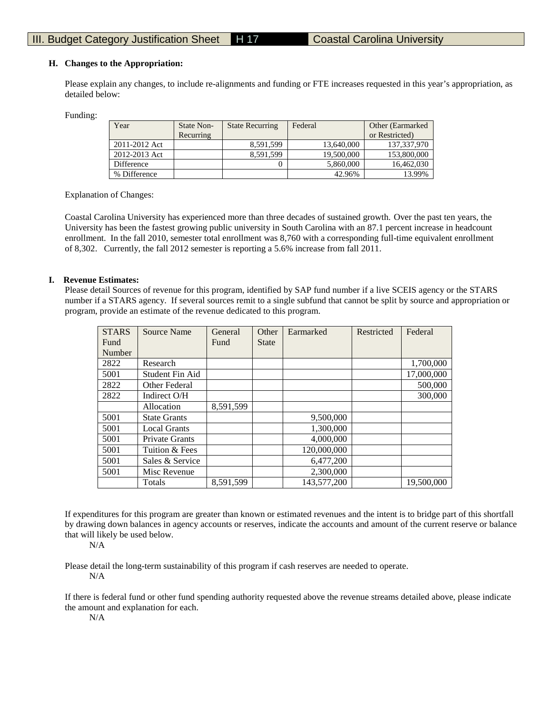#### **H. Changes to the Appropriation:**

Please explain any changes, to include re-alignments and funding or FTE increases requested in this year's appropriation, as detailed below:

Funding:

| Year          | <b>State Non-</b> | <b>State Recurring</b> | Federal    | Other (Earmarked) |
|---------------|-------------------|------------------------|------------|-------------------|
|               | Recurring         |                        |            | or Restricted)    |
| 2011-2012 Act |                   | 8,591,599              | 13,640,000 | 137,337,970       |
| 2012-2013 Act |                   | 8.591.599              | 19,500,000 | 153,800,000       |
| Difference    |                   |                        | 5.860,000  | 16,462,030        |
| % Difference  |                   |                        | 42.96%     | 13.99%            |

Explanation of Changes:

Coastal Carolina University has experienced more than three decades of sustained growth. Over the past ten years, the University has been the fastest growing public university in South Carolina with an 87.1 percent increase in headcount enrollment. In the fall 2010, semester total enrollment was 8,760 with a corresponding full-time equivalent enrollment of 8,302. Currently, the fall 2012 semester is reporting a 5.6% increase from fall 2011.

#### **I. Revenue Estimates:**

Please detail Sources of revenue for this program, identified by SAP fund number if a live SCEIS agency or the STARS number if a STARS agency. If several sources remit to a single subfund that cannot be split by source and appropriation or program, provide an estimate of the revenue dedicated to this program.

| <b>STARS</b> | Source Name           | General   | Other        | Earmarked   | Restricted | Federal    |
|--------------|-----------------------|-----------|--------------|-------------|------------|------------|
| Fund         |                       | Fund      | <b>State</b> |             |            |            |
| Number       |                       |           |              |             |            |            |
| 2822         | Research              |           |              |             |            | 1,700,000  |
| 5001         | Student Fin Aid       |           |              |             |            | 17,000,000 |
| 2822         | Other Federal         |           |              |             |            | 500,000    |
| 2822         | Indirect O/H          |           |              |             |            | 300,000    |
|              | Allocation            | 8,591,599 |              |             |            |            |
| 5001         | <b>State Grants</b>   |           |              | 9,500,000   |            |            |
| 5001         | <b>Local Grants</b>   |           |              | 1,300,000   |            |            |
| 5001         | <b>Private Grants</b> |           |              | 4,000,000   |            |            |
| 5001         | Tuition & Fees        |           |              | 120,000,000 |            |            |
| 5001         | Sales & Service       |           |              | 6,477,200   |            |            |
| 5001         | Misc Revenue          |           |              | 2,300,000   |            |            |
|              | Totals                | 8,591,599 |              | 143,577,200 |            | 19,500,000 |

If expenditures for this program are greater than known or estimated revenues and the intent is to bridge part of this shortfall by drawing down balances in agency accounts or reserves, indicate the accounts and amount of the current reserve or balance that will likely be used below.

N/A

Please detail the long-term sustainability of this program if cash reserves are needed to operate. N/A

If there is federal fund or other fund spending authority requested above the revenue streams detailed above, please indicate the amount and explanation for each.

N/A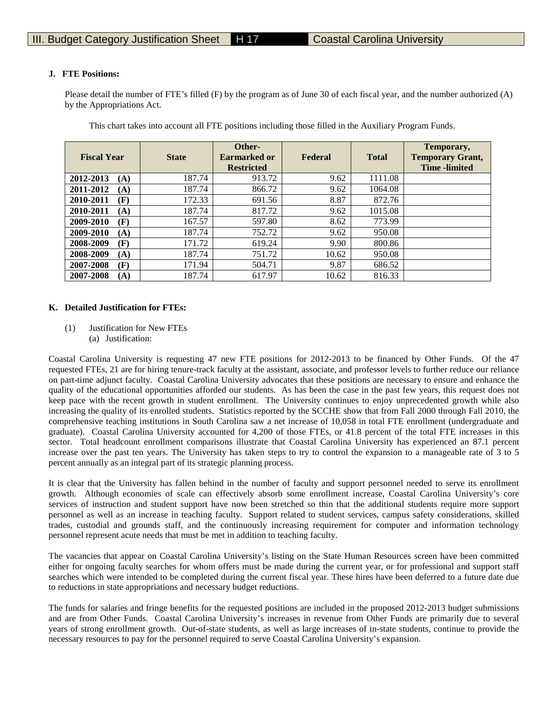# **J. FTE Positions:**

Please detail the number of FTE's filled (F) by the program as of June 30 of each fiscal year, and the number authorized (A) by the Appropriations Act.

| <b>Fiscal Year</b> | <b>State</b> | Other-<br>Earmarked or<br><b>Restricted</b> | Federal | <b>Total</b> | Temporary,<br><b>Temporary Grant,</b><br><b>Time</b> -limited |
|--------------------|--------------|---------------------------------------------|---------|--------------|---------------------------------------------------------------|
| 2012-2013<br>(A)   | 187.74       | 913.72                                      | 9.62    | 1111.08      |                                                               |
| 2011-2012<br>(A)   | 187.74       | 866.72                                      | 9.62    | 1064.08      |                                                               |
| 2010-2011<br>(F)   | 172.33       | 691.56                                      | 8.87    | 872.76       |                                                               |
| 2010-2011<br>(A)   | 187.74       | 817.72                                      | 9.62    | 1015.08      |                                                               |
| 2009-2010<br>(F)   | 167.57       | 597.80                                      | 8.62    | 773.99       |                                                               |
| 2009-2010<br>(A)   | 187.74       | 752.72                                      | 9.62    | 950.08       |                                                               |
| 2008-2009<br>(F)   | 171.72       | 619.24                                      | 9.90    | 800.86       |                                                               |
| 2008-2009<br>(A)   | 187.74       | 751.72                                      | 10.62   | 950.08       |                                                               |
| 2007-2008<br>(F)   | 171.94       | 504.71                                      | 9.87    | 686.52       |                                                               |
| 2007-2008<br>(A)   | 187.74       | 617.97                                      | 10.62   | 816.33       |                                                               |

This chart takes into account all FTE positions including those filled in the Auxiliary Program Funds.

# **K. Detailed Justification for FTEs:**

(1) Justification for New FTEs (a) Justification:

Coastal Carolina University is requesting 47 new FTE positions for 2012-2013 to be financed by Other Funds. Of the 47 requested FTEs, 21 are for hiring tenure-track faculty at the assistant, associate, and professor levels to further reduce our reliance on part-time adjunct faculty. Coastal Carolina University advocates that these positions are necessary to ensure and enhance the quality of the educational opportunities afforded our students. As has been the case in the past few years, this request does not keep pace with the recent growth in student enrollment. The University continues to enjoy unprecedented growth while also increasing the quality of its enrolled students. Statistics reported by the SCCHE show that from Fall 2000 through Fall 2010, the comprehensive teaching institutions in South Carolina saw a net increase of 10,058 in total FTE enrollment (undergraduate and graduate). Coastal Carolina University accounted for 4,200 of those FTEs, or 41.8 percent of the total FTE increases in this sector. Total headcount enrollment comparisons illustrate that Coastal Carolina University has experienced an 87.1 percent increase over the past ten years. The University has taken steps to try to control the expansion to a manageable rate of 3 to 5 percent annually as an integral part of its strategic planning process.

It is clear that the University has fallen behind in the number of faculty and support personnel needed to serve its enrollment growth. Although economies of scale can effectively absorb some enrollment increase, Coastal Carolina University's core services of instruction and student support have now been stretched so thin that the additional students require more support personnel as well as an increase in teaching faculty. Support related to student services, campus safety considerations, skilled trades, custodial and grounds staff, and the continuously increasing requirement for computer and information technology personnel represent acute needs that must be met in addition to teaching faculty.

The vacancies that appear on Coastal Carolina University's listing on the State Human Resources screen have been committed either for ongoing faculty searches for whom offers must be made during the current year, or for professional and support staff searches which were intended to be completed during the current fiscal year. These hires have been deferred to a future date due to reductions in state appropriations and necessary budget reductions.

The funds for salaries and fringe benefits for the requested positions are included in the proposed 2012-2013 budget submissions and are from Other Funds. Coastal Carolina University's increases in revenue from Other Funds are primarily due to several years of strong enrollment growth. Out-of-state students, as well as large increases of in-state students, continue to provide the necessary resources to pay for the personnel required to serve Coastal Carolina University's expansion.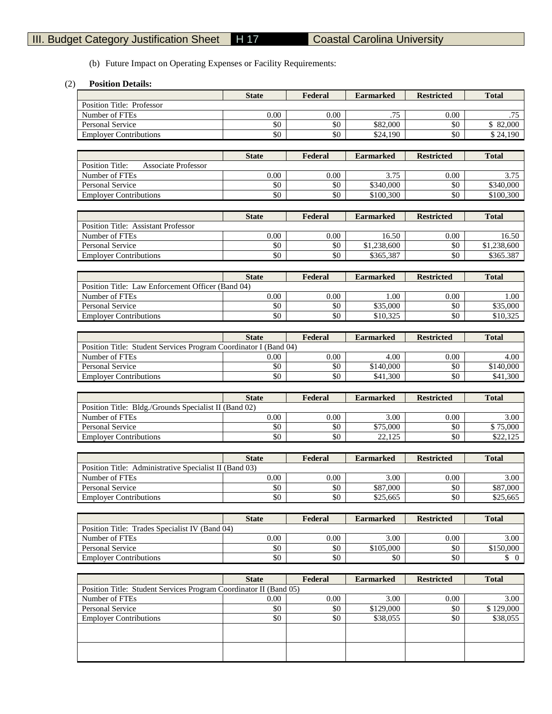٦

(b) Future Impact on Operating Expenses or Facility Requirements:

T

# (2) **Position Details:**

|                                                                   | <b>State</b> | Federal | <b>Earmarked</b>      | <b>Restricted</b> | <b>Total</b>                    |
|-------------------------------------------------------------------|--------------|---------|-----------------------|-------------------|---------------------------------|
| Position Title: Professor                                         |              |         |                       |                   |                                 |
| Number of FTEs                                                    | 0.00         | 0.00    | .75                   | 0.00              | .75                             |
| Personal Service                                                  | \$0          | \$0     | \$82,000              | \$0               | \$82,000                        |
| <b>Employer Contributions</b>                                     | \$0          | \$0     | \$24,190              | \$0               | \$24,190                        |
|                                                                   |              |         |                       |                   |                                 |
|                                                                   | <b>State</b> | Federal | <b>Earmarked</b>      | <b>Restricted</b> | <b>Total</b>                    |
| Position Title:<br><b>Associate Professor</b>                     |              |         |                       |                   |                                 |
| Number of FTEs                                                    | $0.00\,$     | 0.00    | 3.75                  | 0.00              | 3.75                            |
| Personal Service                                                  | \$0          | \$0     | $\overline{$}340,000$ | \$0               | \$340,000                       |
|                                                                   | \$0          | \$0     | \$100,300             | \$0               | \$100,300                       |
| <b>Employer Contributions</b>                                     |              |         |                       |                   |                                 |
|                                                                   |              |         |                       |                   |                                 |
|                                                                   | <b>State</b> | Federal | <b>Earmarked</b>      | <b>Restricted</b> | <b>Total</b>                    |
| Position Title: Assistant Professor                               |              |         |                       |                   |                                 |
| Number of FTEs                                                    | 0.00         | 0.00    | 16.50                 | 0.00              | 16.50                           |
| <b>Personal Service</b>                                           | \$0          | \$0     | \$1,238,600           | \$0               | \$1,238,600                     |
| <b>Employer Contributions</b>                                     | \$0          | \$0     | \$365,387             | \$0               | \$365.387                       |
|                                                                   |              |         |                       |                   |                                 |
|                                                                   | <b>State</b> | Federal | <b>Earmarked</b>      | <b>Restricted</b> | <b>Total</b>                    |
| Position Title: Law Enforcement Officer (Band 04)                 |              |         |                       |                   |                                 |
| Number of FTEs                                                    | 0.00         | 0.00    | 1.00                  | 0.00              | 1.00                            |
| <b>Personal Service</b>                                           | \$0          | \$0     | \$35,000              | \$0               | $\overline{$}35,000$            |
| <b>Employer Contributions</b>                                     | \$0          | \$0     | \$10,325              | \$0               | \$10,325                        |
|                                                                   |              |         |                       |                   |                                 |
|                                                                   | <b>State</b> | Federal | <b>Earmarked</b>      | <b>Restricted</b> | <b>Total</b>                    |
| Position Title: Student Services Program Coordinator I (Band 04)  |              |         |                       |                   |                                 |
| Number of FTEs                                                    | 0.00         | 0.00    | 4.00                  | 0.00              | 4.00                            |
| <b>Personal Service</b>                                           | \$0          | \$0     | \$140,000             | \$0               | \$140,000                       |
| <b>Employer Contributions</b>                                     | \$0          | \$0     | \$41,300              | \$0               | \$41,300                        |
|                                                                   |              |         |                       |                   |                                 |
|                                                                   |              |         |                       |                   |                                 |
|                                                                   |              |         |                       |                   |                                 |
|                                                                   | <b>State</b> | Federal | <b>Earmarked</b>      | <b>Restricted</b> | <b>Total</b>                    |
| Position Title: Bldg./Grounds Specialist II (Band 02)             |              |         |                       |                   |                                 |
| Number of FTEs                                                    | 0.00         | 0.00    | 3.00                  | 0.00              | 3.00                            |
| <b>Personal Service</b>                                           | \$0          | \$0     | \$75,000              | \$0               | \$75,000                        |
| <b>Employer Contributions</b>                                     | \$0          | \$0     | 22,125                | \$0               | \$22,125                        |
|                                                                   |              |         |                       |                   |                                 |
|                                                                   | <b>State</b> | Federal | <b>Earmarked</b>      | <b>Restricted</b> | <b>Total</b>                    |
| Position Title: Administrative Specialist II (Band 03)            |              |         |                       |                   |                                 |
| Number of FTEs                                                    | 0.00         | 0.00    | 3.00                  | 0.00              | 3.00                            |
| Personal Service                                                  | \$0          | \$0     | \$87,000              | \$0               | \$87,000                        |
| <b>Employer Contributions</b>                                     | \$0          | \$0     | \$25,665              | \$0               | \$25,665                        |
|                                                                   |              |         |                       |                   |                                 |
|                                                                   | <b>State</b> | Federal | <b>Earmarked</b>      | <b>Restricted</b> | <b>Total</b>                    |
| Position Title: Trades Specialist IV (Band 04)                    |              |         |                       |                   |                                 |
| Number of FTEs                                                    | 0.00         | 0.00    | 3.00                  | 0.00              | 3.00                            |
| <b>Personal Service</b>                                           | \$0          | \$0     | \$105,000             | \$0               | \$150,000                       |
| <b>Employer Contributions</b>                                     | \$0          | \$0     | \$0                   | \$0               | $\begin{matrix} 0 \end{matrix}$ |
|                                                                   |              |         |                       |                   |                                 |
|                                                                   | <b>State</b> | Federal | <b>Earmarked</b>      | <b>Restricted</b> | <b>Total</b>                    |
| Position Title: Student Services Program Coordinator II (Band 05) |              |         |                       |                   |                                 |
| Number of FTEs                                                    | 0.00         | 0.00    | 3.00                  | 0.00              | 3.00                            |
| Personal Service                                                  | \$0          | \$0     |                       | \$0               |                                 |
|                                                                   |              | \$0     | \$129,000             | \$0               | \$129,000                       |
| <b>Employer Contributions</b>                                     | \$0          |         | \$38,055              |                   | \$38,055                        |
|                                                                   |              |         |                       |                   |                                 |
|                                                                   |              |         |                       |                   |                                 |
|                                                                   |              |         |                       |                   |                                 |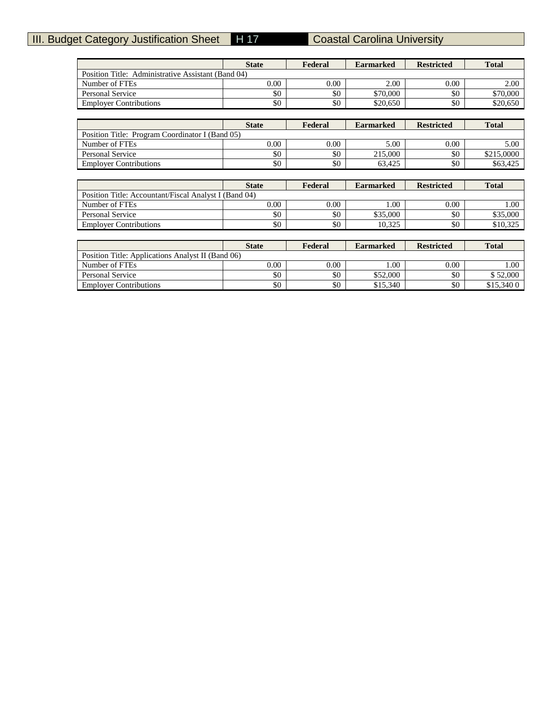# **III. Budget Category Justification Sheet H 17 Coastal Carolina University**

|                                                       | <b>State</b> | Federal | <b>Earmarked</b> | <b>Restricted</b> | <b>Total</b> |
|-------------------------------------------------------|--------------|---------|------------------|-------------------|--------------|
| Position Title: Administrative Assistant (Band 04)    |              |         |                  |                   |              |
| Number of FTEs                                        | 0.00         | 0.00    | 2.00             | 0.00              | 2.00         |
| <b>Personal Service</b>                               | \$0          | \$0     | \$70,000         | \$0               | \$70,000     |
| <b>Employer Contributions</b>                         | \$0          | \$0     | \$20,650         | \$0               | \$20,650     |
|                                                       |              |         |                  |                   |              |
|                                                       | <b>State</b> | Federal | <b>Earmarked</b> | <b>Restricted</b> | <b>Total</b> |
| Position Title: Program Coordinator I (Band 05)       |              |         |                  |                   |              |
| Number of FTEs                                        | 0.00         | 0.00    | 5.00             | 0.00              | 5.00         |
| <b>Personal Service</b>                               | \$0          | \$0     | 215,000          | \$0               | \$215,0000   |
| <b>Employer Contributions</b>                         | \$0          | \$0     | 63,425           | \$0               | \$63,425     |
|                                                       |              |         |                  |                   |              |
|                                                       | <b>State</b> | Federal | <b>Earmarked</b> | <b>Restricted</b> | <b>Total</b> |
|                                                       |              |         |                  |                   |              |
| Position Title: Accountant/Fiscal Analyst I (Band 04) |              |         |                  |                   |              |
| Number of FTEs                                        | 0.00         | 0.00    | 1.00             | 0.00              | 1.00         |
| <b>Personal Service</b>                               | \$0          | \$0     | \$35,000         | \$0               | \$35,000     |
| <b>Employer Contributions</b>                         | \$0          | \$0     | 10,325           | \$0               | \$10,325     |
|                                                       |              |         |                  |                   |              |
|                                                       | <b>State</b> | Federal | <b>Earmarked</b> | <b>Restricted</b> | <b>Total</b> |
| Position Title: Applications Analyst II (Band 06)     |              |         |                  |                   |              |
| Number of FTEs                                        | 0.00         | 0.00    | 1.00             | 0.00              | 1.00         |
| Personal Service                                      | \$0          | \$0     | \$52,000         | \$0               | \$52,000     |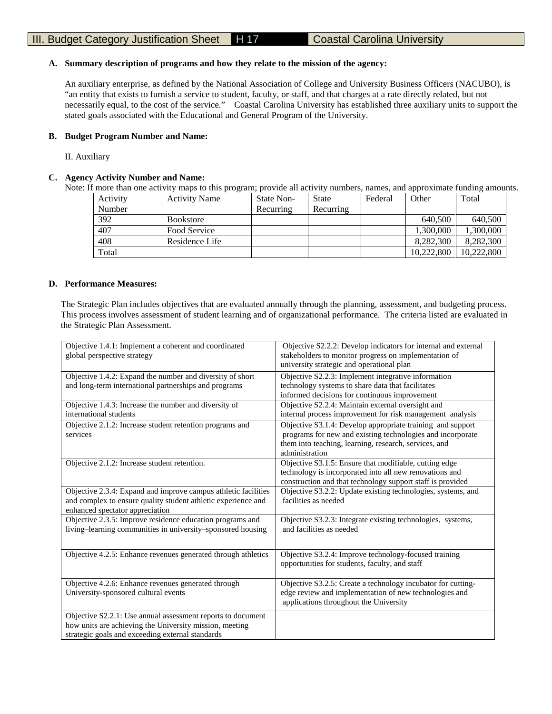# **A. Summary description of programs and how they relate to the mission of the agency:**

An auxiliary enterprise, as defined by the National Association of College and University Business Officers (NACUBO), is "an entity that exists to furnish a service to student, faculty, or staff, and that charges at a rate directly related, but not necessarily equal, to the cost of the service." Coastal Carolina University has established three auxiliary units to support the stated goals associated with the Educational and General Program of the University.

# **B. Budget Program Number and Name:**

II. Auxiliary

# **C. Agency Activity Number and Name:**

Note: If more than one activity maps to this program; provide all activity numbers, names, and approximate funding amounts.

| Activity | <b>Activity Name</b> | State Non- | <b>State</b> | Federal | Other      | Total      |
|----------|----------------------|------------|--------------|---------|------------|------------|
| Number   |                      | Recurring  | Recurring    |         |            |            |
| 392      | <b>Bookstore</b>     |            |              |         | 640,500    | 640,500    |
| 407      | Food Service         |            |              |         | 1,300,000  | 1,300,000  |
| 408      | Residence Life       |            |              |         | 8.282.300  | 8,282,300  |
| Total    |                      |            |              |         | 10.222,800 | 10.222,800 |

#### **D. Performance Measures:**

The Strategic Plan includes objectives that are evaluated annually through the planning, assessment, and budgeting process. This process involves assessment of student learning and of organizational performance. The criteria listed are evaluated in the Strategic Plan Assessment.

| Objective 1.4.1: Implement a coherent and coordinated<br>global perspective strategy                                                                                       | Objective S2.2.2: Develop indicators for internal and external<br>stakeholders to monitor progress on implementation of<br>university strategic and operational plan                                |
|----------------------------------------------------------------------------------------------------------------------------------------------------------------------------|-----------------------------------------------------------------------------------------------------------------------------------------------------------------------------------------------------|
| Objective 1.4.2: Expand the number and diversity of short<br>and long-term international partnerships and programs                                                         | Objective S2.2.3: Implement integrative information<br>technology systems to share data that facilitates<br>informed decisions for continuous improvement                                           |
| Objective 1.4.3: Increase the number and diversity of<br>international students                                                                                            | Objective S2.2.4: Maintain external oversight and<br>internal process improvement for risk management analysis                                                                                      |
| Objective 2.1.2: Increase student retention programs and<br>services                                                                                                       | Objective S3.1.4: Develop appropriate training and support<br>programs for new and existing technologies and incorporate<br>them into teaching, learning, research, services, and<br>administration |
| Objective 2.1.2: Increase student retention.                                                                                                                               | Objective S3.1.5: Ensure that modifiable, cutting edge<br>technology is incorporated into all new renovations and<br>construction and that technology support staff is provided                     |
| Objective 2.3.4: Expand and improve campus athletic facilities<br>and complex to ensure quality student athletic experience and<br>enhanced spectator appreciation         | Objective S3.2.2: Update existing technologies, systems, and<br>facilities as needed                                                                                                                |
| Objective 2.3.5: Improve residence education programs and<br>living-learning communities in university-sponsored housing                                                   | Objective S3.2.3: Integrate existing technologies, systems,<br>and facilities as needed                                                                                                             |
| Objective 4.2.5: Enhance revenues generated through athletics                                                                                                              | Objective S3.2.4: Improve technology-focused training<br>opportunities for students, faculty, and staff                                                                                             |
| Objective 4.2.6: Enhance revenues generated through<br>University-sponsored cultural events                                                                                | Objective S3.2.5: Create a technology incubator for cutting-<br>edge review and implementation of new technologies and<br>applications throughout the University                                    |
| Objective S2.2.1: Use annual assessment reports to document<br>how units are achieving the University mission, meeting<br>strategic goals and exceeding external standards |                                                                                                                                                                                                     |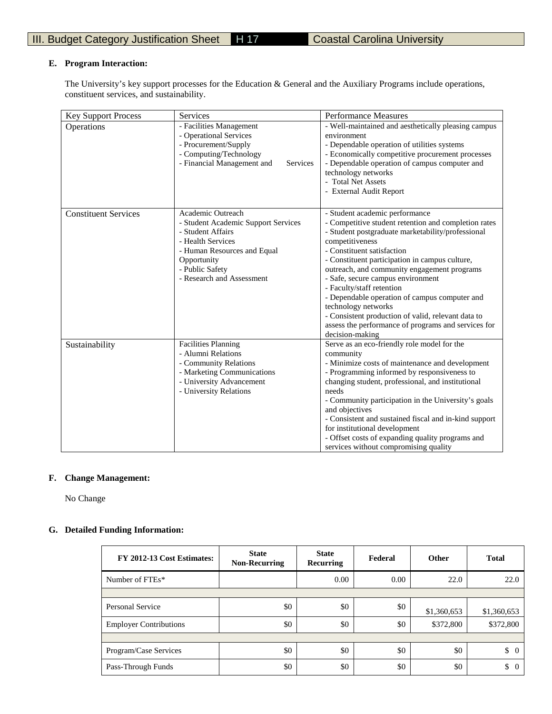# **E. Program Interaction:**

The University's key support processes for the Education & General and the Auxiliary Programs include operations, constituent services, and sustainability.

| <b>Key Support Process</b>  | Services                                                                                                                                                                                         | <b>Performance Measures</b>                                                                                                                                                                                                                                                                                                                                                                                                                                                                                                                                             |
|-----------------------------|--------------------------------------------------------------------------------------------------------------------------------------------------------------------------------------------------|-------------------------------------------------------------------------------------------------------------------------------------------------------------------------------------------------------------------------------------------------------------------------------------------------------------------------------------------------------------------------------------------------------------------------------------------------------------------------------------------------------------------------------------------------------------------------|
| Operations                  | - Facilities Management<br>- Operational Services<br>- Procurement/Supply<br>- Computing/Technology<br>- Financial Management and<br>Services                                                    | - Well-maintained and aesthetically pleasing campus<br>environment<br>- Dependable operation of utilities systems<br>- Economically competitive procurement processes<br>- Dependable operation of campus computer and<br>technology networks<br>- Total Net Assets<br>- External Audit Report                                                                                                                                                                                                                                                                          |
| <b>Constituent Services</b> | Academic Outreach<br>- Student Academic Support Services<br>- Student Affairs<br>- Health Services<br>- Human Resources and Equal<br>Opportunity<br>- Public Safety<br>- Research and Assessment | - Student academic performance<br>- Competitive student retention and completion rates<br>- Student postgraduate marketability/professional<br>competitiveness<br>- Constituent satisfaction<br>- Constituent participation in campus culture,<br>outreach, and community engagement programs<br>- Safe, secure campus environment<br>- Faculty/staff retention<br>- Dependable operation of campus computer and<br>technology networks<br>- Consistent production of valid, relevant data to<br>assess the performance of programs and services for<br>decision-making |
| Sustainability              | <b>Facilities Planning</b><br>- Alumni Relations<br>- Community Relations<br>- Marketing Communications<br>- University Advancement<br>- University Relations                                    | Serve as an eco-friendly role model for the<br>community<br>- Minimize costs of maintenance and development<br>- Programming informed by responsiveness to<br>changing student, professional, and institutional<br>needs<br>- Community participation in the University's goals<br>and objectives<br>- Consistent and sustained fiscal and in-kind support<br>for institutional development<br>- Offset costs of expanding quality programs and<br>services without compromising quality                                                                                |

# **F. Change Management:**

No Change

# **G. Detailed Funding Information:**

| FY 2012-13 Cost Estimates:    | <b>State</b><br><b>Non-Recurring</b> | <b>State</b><br><b>Recurring</b> | Federal | <b>Other</b> | <b>Total</b>         |
|-------------------------------|--------------------------------------|----------------------------------|---------|--------------|----------------------|
| Number of FTEs*               |                                      | 0.00                             | 0.00    | 22.0         | 22.0                 |
|                               |                                      |                                  |         |              |                      |
| Personal Service              | \$0                                  | \$0                              | \$0     | \$1,360,653  | \$1,360,653          |
| <b>Employer Contributions</b> | \$0                                  | \$0                              | \$0     | \$372,800    | \$372,800            |
|                               |                                      |                                  |         |              |                      |
| Program/Case Services         | \$0                                  | \$0                              | \$0     | \$0          | \$<br>$\overline{0}$ |
| Pass-Through Funds            | \$0                                  | \$0                              | \$0     | \$0          | \$<br>$\Omega$       |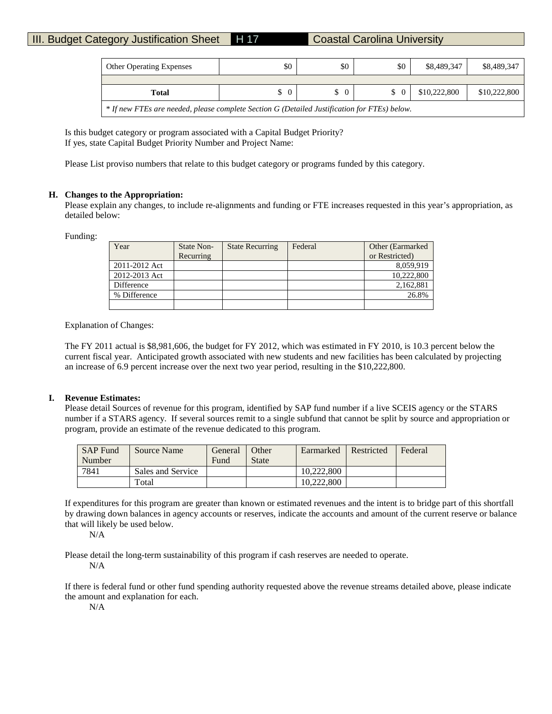# III. Budget Category Justification Sheet H 17 Coastal Carolina University

| <b>Other Operating Expenses</b>                                                              | \$0            | \$0      | \$0      | \$8,489,347  | \$8,489,347  |  |  |
|----------------------------------------------------------------------------------------------|----------------|----------|----------|--------------|--------------|--|--|
|                                                                                              |                |          |          |              |              |  |  |
| Total                                                                                        | $\overline{0}$ | $\Omega$ | $\Omega$ | \$10,222,800 | \$10,222,800 |  |  |
| * If new FTEs are needed, please complete Section G (Detailed Justification for FTEs) below. |                |          |          |              |              |  |  |

Is this budget category or program associated with a Capital Budget Priority? If yes, state Capital Budget Priority Number and Project Name:

Please List proviso numbers that relate to this budget category or programs funded by this category.

# **H. Changes to the Appropriation:**

Please explain any changes, to include re-alignments and funding or FTE increases requested in this year's appropriation, as detailed below:

Funding:

| Year          | State Non- | <b>State Recurring</b> | Federal | Other (Earmarked) |
|---------------|------------|------------------------|---------|-------------------|
|               | Recurring  |                        |         | or Restricted)    |
| 2011-2012 Act |            |                        |         | 8.059.919         |
| 2012-2013 Act |            |                        |         | 10,222,800        |
| Difference    |            |                        |         | 2,162,881         |
| % Difference  |            |                        |         | 26.8%             |
|               |            |                        |         |                   |

Explanation of Changes:

The FY 2011 actual is \$8,981,606, the budget for FY 2012, which was estimated in FY 2010, is 10.3 percent below the current fiscal year. Anticipated growth associated with new students and new facilities has been calculated by projecting an increase of 6.9 percent increase over the next two year period, resulting in the \$10,222,800.

#### **I. Revenue Estimates:**

Please detail Sources of revenue for this program, identified by SAP fund number if a live SCEIS agency or the STARS number if a STARS agency. If several sources remit to a single subfund that cannot be split by source and appropriation or program, provide an estimate of the revenue dedicated to this program.

| <b>SAP Fund</b> | Source Name       | General | Other        | Earmarked  | Restricted | Federal |
|-----------------|-------------------|---------|--------------|------------|------------|---------|
| Number          |                   | Fund    | <b>State</b> |            |            |         |
| 7841            | Sales and Service |         |              | 10.222,800 |            |         |
|                 | Total             |         |              | 10.222.800 |            |         |

If expenditures for this program are greater than known or estimated revenues and the intent is to bridge part of this shortfall by drawing down balances in agency accounts or reserves, indicate the accounts and amount of the current reserve or balance that will likely be used below.

N/A

Please detail the long-term sustainability of this program if cash reserves are needed to operate. N/A

If there is federal fund or other fund spending authority requested above the revenue streams detailed above, please indicate the amount and explanation for each.

N/A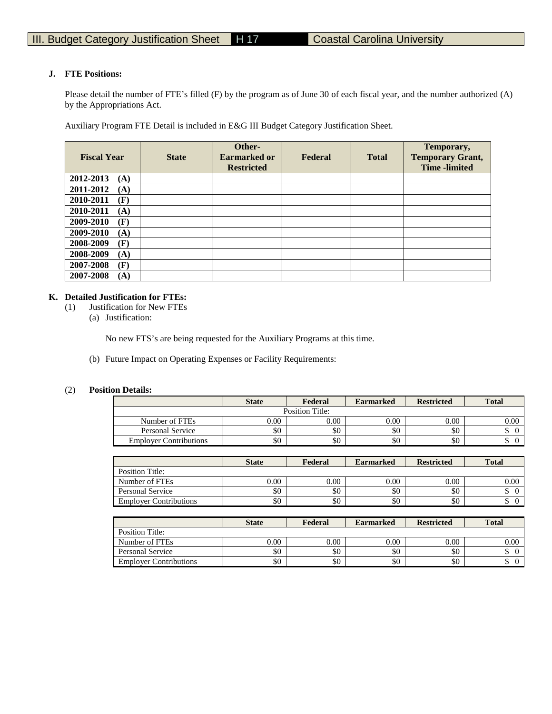# **J. FTE Positions:**

Please detail the number of FTE's filled (F) by the program as of June 30 of each fiscal year, and the number authorized (A) by the Appropriations Act.

Auxiliary Program FTE Detail is included in E&G III Budget Category Justification Sheet.

| <b>Fiscal Year</b> | <b>State</b> | Other-<br><b>Earmarked or</b><br><b>Restricted</b> | Federal | <b>Total</b> | Temporary,<br><b>Temporary Grant,</b><br><b>Time</b> -limited |
|--------------------|--------------|----------------------------------------------------|---------|--------------|---------------------------------------------------------------|
| 2012-2013<br>(A)   |              |                                                    |         |              |                                                               |
| 2011-2012<br>(A)   |              |                                                    |         |              |                                                               |
| 2010-2011<br>(F)   |              |                                                    |         |              |                                                               |
| 2010-2011<br>(A)   |              |                                                    |         |              |                                                               |
| 2009-2010<br>(F)   |              |                                                    |         |              |                                                               |
| 2009-2010<br>(A)   |              |                                                    |         |              |                                                               |
| (F)<br>2008-2009   |              |                                                    |         |              |                                                               |
| 2008-2009<br>(A)   |              |                                                    |         |              |                                                               |
| 2007-2008<br>(F)   |              |                                                    |         |              |                                                               |
| 2007-2008<br>(A)   |              |                                                    |         |              |                                                               |

# **K. Detailed Justification for FTEs:**

(1) Justification for New FTEs

(a) Justification:

No new FTS's are being requested for the Auxiliary Programs at this time.

(b) Future Impact on Operating Expenses or Facility Requirements:

#### (2) **Position Details:**

|                               | <b>State</b> | Federal | <b>Earmarked</b> | <b>Restricted</b> | <b>Total</b> |  |  |  |  |
|-------------------------------|--------------|---------|------------------|-------------------|--------------|--|--|--|--|
| Position Title:               |              |         |                  |                   |              |  |  |  |  |
| Number of FTEs                | 0.00         | 0.00    | 0.00             | 0.00              | 0.00         |  |  |  |  |
| Personal Service              | \$0          | \$0     | \$0              | \$0               |              |  |  |  |  |
| <b>Employer Contributions</b> | \$0          | \$0     | \$0              | \$0               | чU           |  |  |  |  |

|                               | <b>State</b> | Federal | <b>Earmarked</b> | <b>Restricted</b> | <b>Total</b> |
|-------------------------------|--------------|---------|------------------|-------------------|--------------|
| Position Title:               |              |         |                  |                   |              |
| Number of FTEs                | $0.00\,$     | 0.00    | 0.00             | 0.00              | 0.00         |
| <b>Personal Service</b>       | \$0          | \$0     | \$0              | \$0               |              |
| <b>Employer Contributions</b> | \$0          | \$0     | \$0              | \$0               |              |

|                               | <b>State</b> | Federal | <b>Earmarked</b> | <b>Restricted</b> | <b>Total</b> |
|-------------------------------|--------------|---------|------------------|-------------------|--------------|
| Position Title:               |              |         |                  |                   |              |
| Number of FTEs                | 0.00         | 0.00    | 0.00             | 0.00              | 0.00         |
| Personal Service              | \$0          | \$0     | \$0              | \$0               |              |
| <b>Employer Contributions</b> | \$0          | \$0     | \$0              | \$0               | ω            |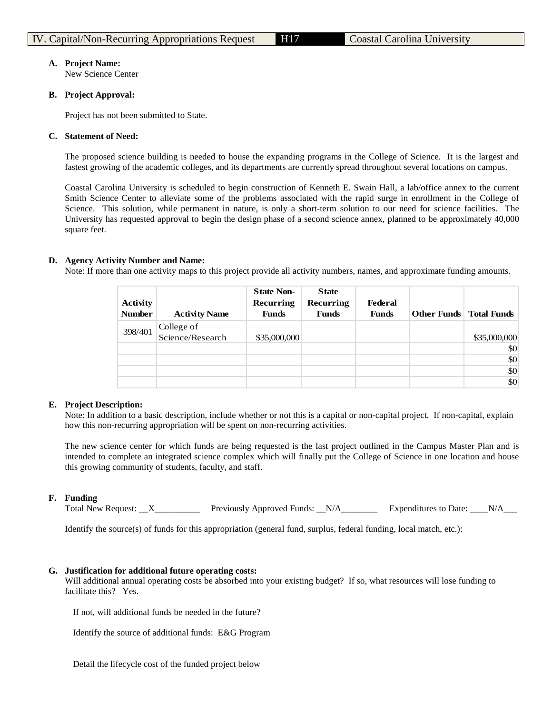# **A. Project Name:**

New Science Center

# **B. Project Approval:**

Project has not been submitted to State.

# **C. Statement of Need:**

The proposed science building is needed to house the expanding programs in the College of Science. It is the largest and fastest growing of the academic colleges, and its departments are currently spread throughout several locations on campus.

Coastal Carolina University is scheduled to begin construction of Kenneth E. Swain Hall, a lab/office annex to the current Smith Science Center to alleviate some of the problems associated with the rapid surge in enrollment in the College of Science. This solution, while permanent in nature, is only a short-term solution to our need for science facilities. The University has requested approval to begin the design phase of a second science annex, planned to be approximately 40,000 square feet.

# **D. Agency Activity Number and Name:**

Note: If more than one activity maps to this project provide all activity numbers, names, and approximate funding amounts.

| <b>Activity</b><br><b>Number</b> | <b>Activity Name</b>           | <b>State Non-</b><br>Recurring<br><b>Funds</b> | <b>State</b><br>Recurring<br><b>Funds</b> | Federal<br><b>Funds</b> | <b>Other Funds</b> Total Funds |              |
|----------------------------------|--------------------------------|------------------------------------------------|-------------------------------------------|-------------------------|--------------------------------|--------------|
| 398/401                          | College of<br>Science/Research | \$35,000,000                                   |                                           |                         |                                | \$35,000,000 |
|                                  |                                |                                                |                                           |                         |                                | \$0          |
|                                  |                                |                                                |                                           |                         |                                | \$0          |
|                                  |                                |                                                |                                           |                         |                                | \$0          |
|                                  |                                |                                                |                                           |                         |                                | \$0          |

# **E. Project Description:**

Note: In addition to a basic description, include whether or not this is a capital or non-capital project. If non-capital, explain how this non-recurring appropriation will be spent on non-recurring activities.

The new science center for which funds are being requested is the last project outlined in the Campus Master Plan and is intended to complete an integrated science complex which will finally put the College of Science in one location and house this growing community of students, faculty, and staff.

# **F. Funding**

Total New Request: \_\_X\_\_\_\_\_\_\_\_\_\_\_ Previously Approved Funds: \_\_N/A\_\_\_\_\_\_\_\_ Expenditures to Date: \_\_\_N/A\_\_\_\_\_\_

Identify the source(s) of funds for this appropriation (general fund, surplus, federal funding, local match, etc.):

# **G. Justification for additional future operating costs:**

Will additional annual operating costs be absorbed into your existing budget? If so, what resources will lose funding to facilitate this? Yes.

If not, will additional funds be needed in the future?

Identify the source of additional funds: E&G Program

Detail the lifecycle cost of the funded project below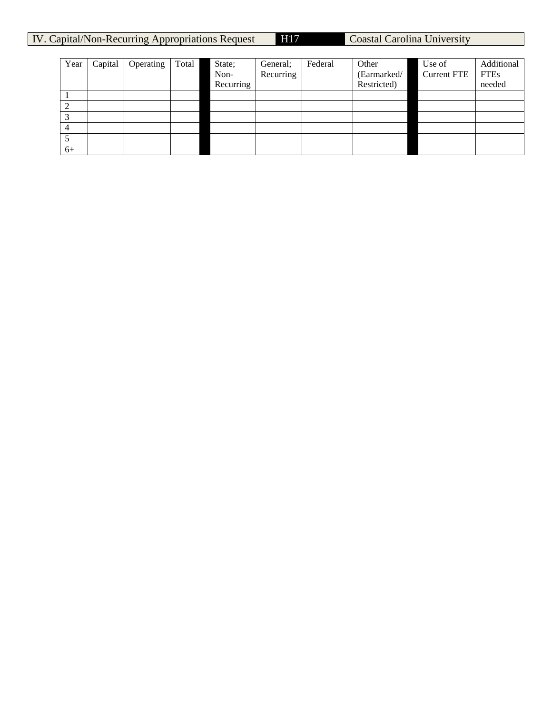| IV. Capital/Non-Recurring Appropriations Request | <b>H17</b> | Coastal Carolina University |
|--------------------------------------------------|------------|-----------------------------|
|--------------------------------------------------|------------|-----------------------------|

| Year | Capital | Operating | Total | State;    | General;  | Federal | Other       | Use of             | Additional  |
|------|---------|-----------|-------|-----------|-----------|---------|-------------|--------------------|-------------|
|      |         |           |       | Non-      | Recurring |         | (Earmarked/ | <b>Current FTE</b> | <b>FTEs</b> |
|      |         |           |       | Recurring |           |         | Restricted) |                    | needed      |
|      |         |           |       |           |           |         |             |                    |             |
|      |         |           |       |           |           |         |             |                    |             |
|      |         |           |       |           |           |         |             |                    |             |
|      |         |           |       |           |           |         |             |                    |             |
|      |         |           |       |           |           |         |             |                    |             |
| $6+$ |         |           |       |           |           |         |             |                    |             |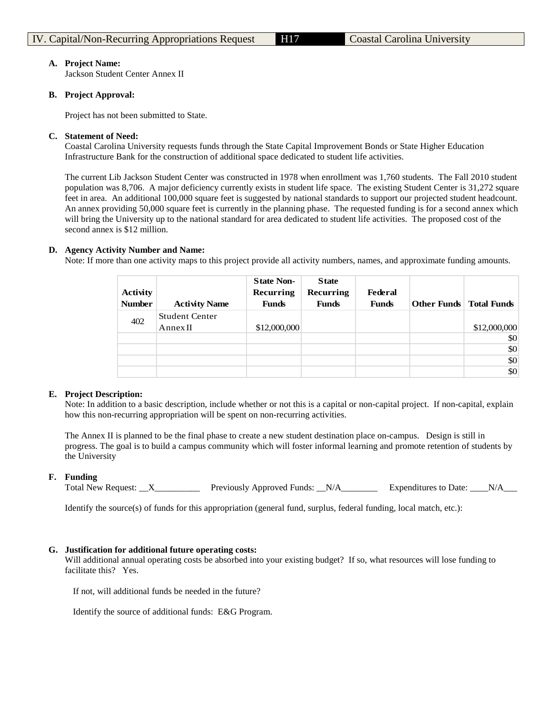### **A. Project Name:**

Jackson Student Center Annex II

# **B. Project Approval:**

Project has not been submitted to State.

# **C. Statement of Need:**

Coastal Carolina University requests funds through the State Capital Improvement Bonds or State Higher Education Infrastructure Bank for the construction of additional space dedicated to student life activities.

The current Lib Jackson Student Center was constructed in 1978 when enrollment was 1,760 students. The Fall 2010 student population was 8,706. A major deficiency currently exists in student life space. The existing Student Center is 31,272 square feet in area. An additional 100,000 square feet is suggested by national standards to support our projected student headcount. An annex providing 50,000 square feet is currently in the planning phase. The requested funding is for a second annex which will bring the University up to the national standard for area dedicated to student life activities. The proposed cost of the second annex is \$12 million.

# **D. Agency Activity Number and Name:**

Note: If more than one activity maps to this project provide all activity numbers, names, and approximate funding amounts.

| <b>Activity</b><br><b>Number</b> | <b>Activity Name</b>              | <b>State Non-</b><br>Recurring<br><b>Funds</b> | <b>State</b><br>Recurring<br><b>Funds</b> | <b>Federal</b><br><b>Funds</b> | <b>Other Funds</b> Total Funds |              |
|----------------------------------|-----------------------------------|------------------------------------------------|-------------------------------------------|--------------------------------|--------------------------------|--------------|
| 402                              | <b>Student Center</b><br>Annex II | \$12,000,000                                   |                                           |                                |                                | \$12,000,000 |
|                                  |                                   |                                                |                                           |                                |                                | \$0          |
|                                  |                                   |                                                |                                           |                                |                                | \$0          |
|                                  |                                   |                                                |                                           |                                |                                | \$0          |
|                                  |                                   |                                                |                                           |                                |                                | \$0          |

#### **E. Project Description:**

Note: In addition to a basic description, include whether or not this is a capital or non-capital project. If non-capital, explain how this non-recurring appropriation will be spent on non-recurring activities.

The Annex II is planned to be the final phase to create a new student destination place on-campus. Design is still in progress. The goal is to build a campus community which will foster informal learning and promote retention of students by the University

#### **F. Funding**

Total New Request:  $\overline{X}$  Previously Approved Funds:  $N/A$  Expenditures to Date:  $N/A$ 

Identify the source(s) of funds for this appropriation (general fund, surplus, federal funding, local match, etc.):

# **G. Justification for additional future operating costs:**

Will additional annual operating costs be absorbed into your existing budget? If so, what resources will lose funding to facilitate this? Yes.

If not, will additional funds be needed in the future?

Identify the source of additional funds: E&G Program.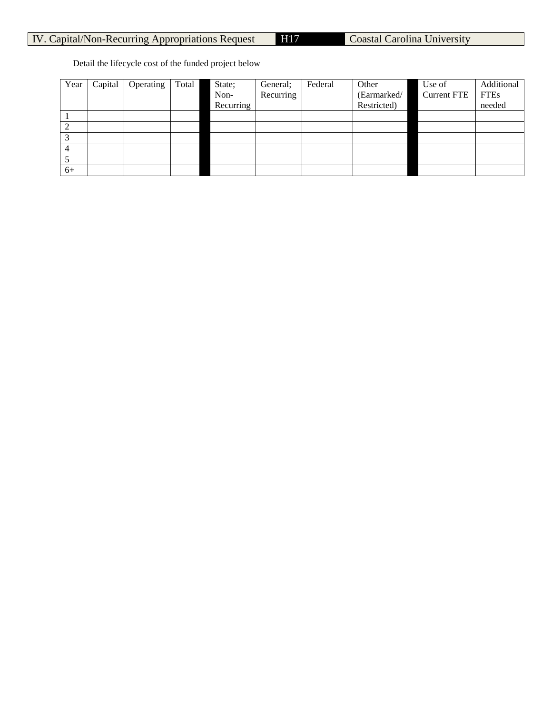Detail the lifecycle cost of the funded project below

| Year | Capital | Operating | Total | State;    | General;  | Federal | Other       | Use of             | Additional  |
|------|---------|-----------|-------|-----------|-----------|---------|-------------|--------------------|-------------|
|      |         |           |       | Non-      | Recurring |         | (Earmarked/ | <b>Current FTE</b> | <b>FTEs</b> |
|      |         |           |       | Recurring |           |         | Restricted) |                    | needed      |
|      |         |           |       |           |           |         |             |                    |             |
|      |         |           |       |           |           |         |             |                    |             |
|      |         |           |       |           |           |         |             |                    |             |
| 4    |         |           |       |           |           |         |             |                    |             |
|      |         |           |       |           |           |         |             |                    |             |
| $6+$ |         |           |       |           |           |         |             |                    |             |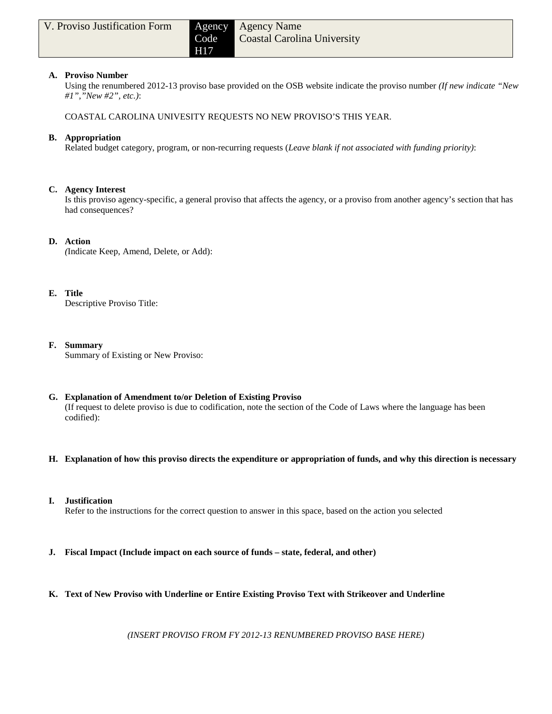# **A. Proviso Number**

Using the renumbered 2012-13 proviso base provided on the OSB website indicate the proviso number *(If new indicate "New #1","New #2", etc.)*:

COASTAL CAROLINA UNIVESITY REQUESTS NO NEW PROVISO'S THIS YEAR.

# **B. Appropriation**

Related budget category, program, or non-recurring requests (*Leave blank if not associated with funding priority)*:

# **C. Agency Interest**

Is this proviso agency-specific, a general proviso that affects the agency, or a proviso from another agency's section that has had consequences?

# **D. Action**

*(*Indicate Keep, Amend, Delete, or Add):

# **E. Title**

Descriptive Proviso Title:

# **F. Summary**

Summary of Existing or New Proviso:

# **G. Explanation of Amendment to/or Deletion of Existing Proviso**

(If request to delete proviso is due to codification, note the section of the Code of Laws where the language has been codified):

- **H. Explanation of how this proviso directs the expenditure or appropriation of funds, and why this direction is necessary**
- **I. Justification**

Refer to the instructions for the correct question to answer in this space, based on the action you selected

- **J. Fiscal Impact (Include impact on each source of funds – state, federal, and other)**
- **K. Text of New Proviso with Underline or Entire Existing Proviso Text with Strikeover and Underline**

*(INSERT PROVISO FROM FY 2012-13 RENUMBERED PROVISO BASE HERE)*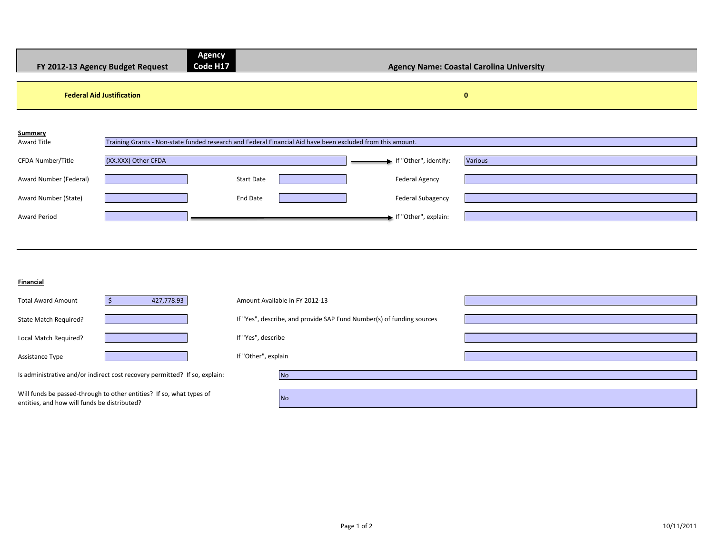| FY 2012-13 Agency Budget Request |                     | <b>Agency</b><br>Code H17                                                                                  |                          | <b>Agency Name: Coastal Carolina University</b> |
|----------------------------------|---------------------|------------------------------------------------------------------------------------------------------------|--------------------------|-------------------------------------------------|
| <b>Federal Aid Justification</b> |                     |                                                                                                            |                          | $\bf{0}$                                        |
| Summary<br>Award Title           |                     | Training Grants - Non-state funded research and Federal Financial Aid have been excluded from this amount. |                          |                                                 |
| CFDA Number/Title                | (XX.XXX) Other CFDA |                                                                                                            | If "Other", identify:    | Various                                         |
| Award Number (Federal)           |                     | <b>Start Date</b>                                                                                          | <b>Federal Agency</b>    |                                                 |
| Award Number (State)             |                     | End Date                                                                                                   | <b>Federal Subagency</b> |                                                 |
| <b>Award Period</b>              |                     |                                                                                                            | If "Other", explain:     |                                                 |
|                                  |                     |                                                                                                            |                          |                                                 |

#### **Financial**

| <b>Total Award Amount</b>                                                                                            | 427,778.93                                                                 | Amount Available in FY 2012-13                                        |           |  |
|----------------------------------------------------------------------------------------------------------------------|----------------------------------------------------------------------------|-----------------------------------------------------------------------|-----------|--|
| State Match Required?                                                                                                |                                                                            | If "Yes", describe, and provide SAP Fund Number(s) of funding sources |           |  |
| Local Match Required?                                                                                                |                                                                            | If "Yes", describe                                                    |           |  |
| Assistance Type                                                                                                      |                                                                            | If "Other", explain                                                   |           |  |
|                                                                                                                      | Is administrative and/or indirect cost recovery permitted? If so, explain: |                                                                       | <b>No</b> |  |
| Will funds be passed-through to other entities? If so, what types of<br>entities, and how will funds be distributed? |                                                                            |                                                                       | <b>No</b> |  |